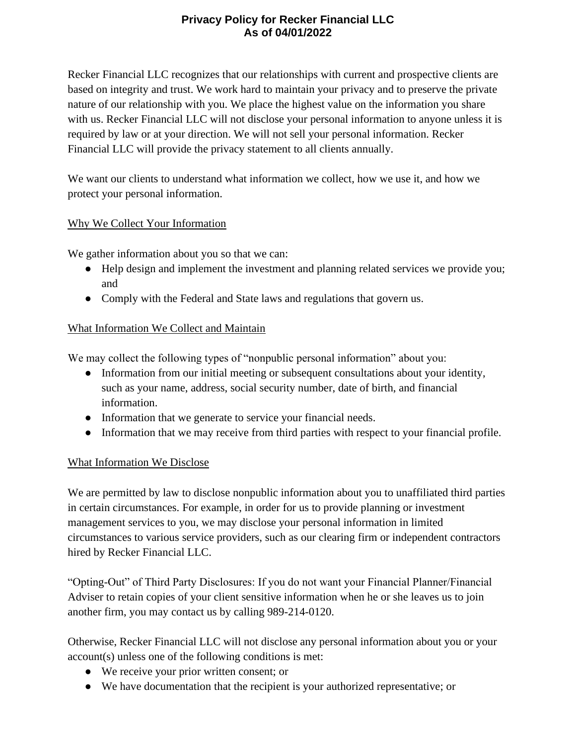# **Privacy Policy for Recker Financial LLC As of 04/01/2022**

Recker Financial LLC recognizes that our relationships with current and prospective clients are based on integrity and trust. We work hard to maintain your privacy and to preserve the private nature of our relationship with you. We place the highest value on the information you share with us. Recker Financial LLC will not disclose your personal information to anyone unless it is required by law or at your direction. We will not sell your personal information. Recker Financial LLC will provide the privacy statement to all clients annually.

We want our clients to understand what information we collect, how we use it, and how we protect your personal information.

## Why We Collect Your Information

We gather information about you so that we can:

- Help design and implement the investment and planning related services we provide you; and
- Comply with the Federal and State laws and regulations that govern us.

#### What Information We Collect and Maintain

We may collect the following types of "nonpublic personal information" about you:

- Information from our initial meeting or subsequent consultations about your identity, such as your name, address, social security number, date of birth, and financial information.
- Information that we generate to service your financial needs.
- Information that we may receive from third parties with respect to your financial profile.

## What Information We Disclose

We are permitted by law to disclose nonpublic information about you to unaffiliated third parties in certain circumstances. For example, in order for us to provide planning or investment management services to you, we may disclose your personal information in limited circumstances to various service providers, such as our clearing firm or independent contractors hired by Recker Financial LLC.

"Opting-Out" of Third Party Disclosures: If you do not want your Financial Planner/Financial Adviser to retain copies of your client sensitive information when he or she leaves us to join another firm, you may contact us by calling 989-214-0120.

Otherwise, Recker Financial LLC will not disclose any personal information about you or your account(s) unless one of the following conditions is met:

- We receive your prior written consent; or
- We have documentation that the recipient is your authorized representative; or